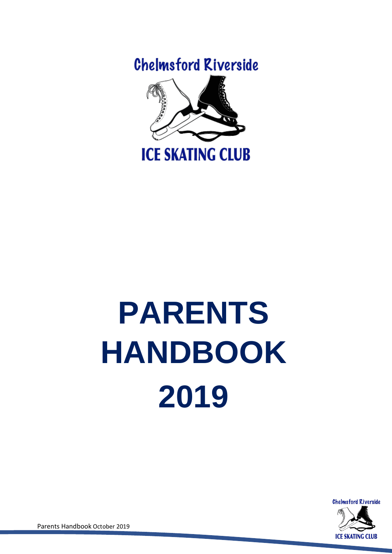**Chelmsford Riverside** 



# **PARENTS HANDBOOK 2019**



Parents Handbook October 2019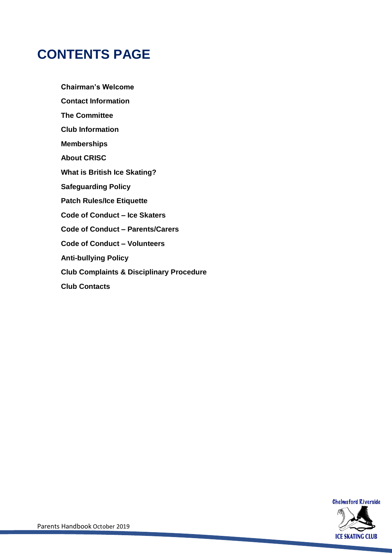### **CONTENTS PAGE**

**Chairman's Welcome Contact Information The Committee Club Information Memberships About CRISC What is British Ice Skating? Safeguarding Policy Patch Rules/Ice Etiquette Code of Conduct – Ice Skaters Code of Conduct – Parents/Carers Code of Conduct – Volunteers Anti-bullying Policy Club Complaints & Disciplinary Procedure Club Contacts**

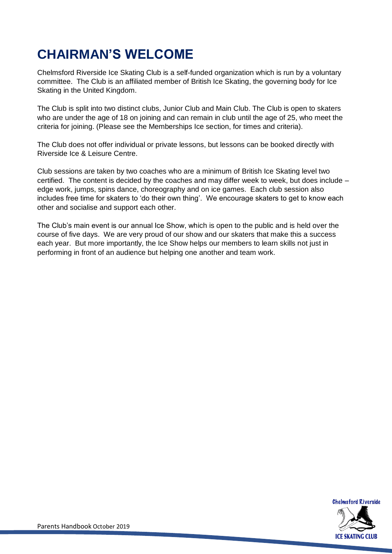### **CHAIRMAN'S WELCOME**

Chelmsford Riverside Ice Skating Club is a self-funded organization which is run by a voluntary committee. The Club is an affiliated member of British Ice Skating, the governing body for Ice Skating in the United Kingdom.

The Club is split into two distinct clubs, Junior Club and Main Club. The Club is open to skaters who are under the age of 18 on joining and can remain in club until the age of 25, who meet the criteria for joining. (Please see the Memberships Ice section, for times and criteria).

The Club does not offer individual or private lessons, but lessons can be booked directly with Riverside Ice & Leisure Centre.

Club sessions are taken by two coaches who are a minimum of British Ice Skating level two certified. The content is decided by the coaches and may differ week to week, but does include – edge work, jumps, spins dance, choreography and on ice games. Each club session also includes free time for skaters to 'do their own thing'. We encourage skaters to get to know each other and socialise and support each other.

The Club's main event is our annual Ice Show, which is open to the public and is held over the course of five days. We are very proud of our show and our skaters that make this a success each year. But more importantly, the Ice Show helps our members to learn skills not just in performing in front of an audience but helping one another and team work.

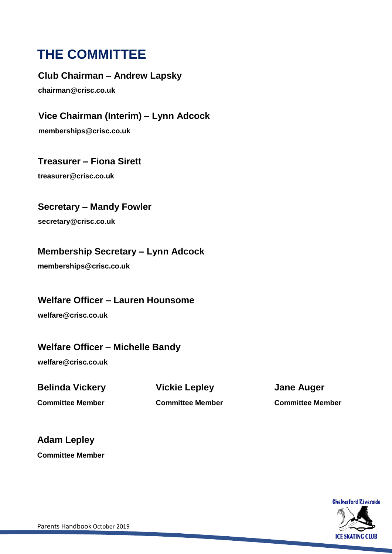### **THE COMMITTEE**

**Club Chairman – Andrew Lapsky**

**chairman@crisc.co.uk**

**Vice Chairman (Interim) – Lynn Adcock memberships@crisc.co.uk**

**Treasurer – Fiona Sirett**

**treasurer@crisc.co.uk**

**Secretary – Mandy Fowler**

**secretary@crisc.co.uk**

#### **Membership Secretary – Lynn Adcock**

**memberships@crisc.co.uk**

#### **Welfare Officer – Lauren Hounsome**

**welfare@crisc.co.uk**

#### **Welfare Officer – Michelle Bandy**

**welfare@crisc.co.uk**

**Belinda Vickery Vickie Lepley Jane Auger**

**Committee Member Committee Member Committee Member**

**Adam Lepley**

**Committee Member**

**Chelmsford Riverside ICE SKATING CLUB**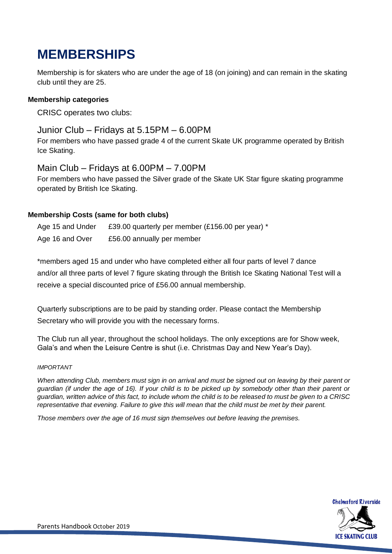### **MEMBERSHIPS**

Membership is for skaters who are under the age of 18 (on joining) and can remain in the skating club until they are 25.

#### **Membership categories**

CRISC operates two clubs:

#### Junior Club – Fridays at 5.15PM – 6.00PM

For members who have passed grade 4 of the current Skate UK programme operated by British Ice Skating.

#### Main Club – Fridays at 6.00PM – 7.00PM

For members who have passed the Silver grade of the Skate UK Star figure skating programme operated by British Ice Skating.

#### **Membership Costs (same for both clubs)**

Age 15 and Under £39.00 quarterly per member (£156.00 per year) \* Age 16 and Over £56.00 annually per member

\*members aged 15 and under who have completed either all four parts of level 7 dance and/or all three parts of level 7 figure skating through the British Ice Skating National Test will a receive a special discounted price of £56.00 annual membership.

Quarterly subscriptions are to be paid by standing order. Please contact the Membership Secretary who will provide you with the necessary forms.

The Club run all year, throughout the school holidays. The only exceptions are for Show week, Gala's and when the Leisure Centre is shut (i.e. Christmas Day and New Year's Day).

#### *IMPORTANT*

*When attending Club, members must sign in on arrival and must be signed out on leaving by their parent or guardian (if under the age of 16). If your child is to be picked up by somebody other than their parent or guardian, written advice of this fact, to include whom the child is to be released to must be given to a CRISC representative that evening. Failure to give this will mean that the child must be met by their parent.*

*Those members over the age of 16 must sign themselves out before leaving the premises.*

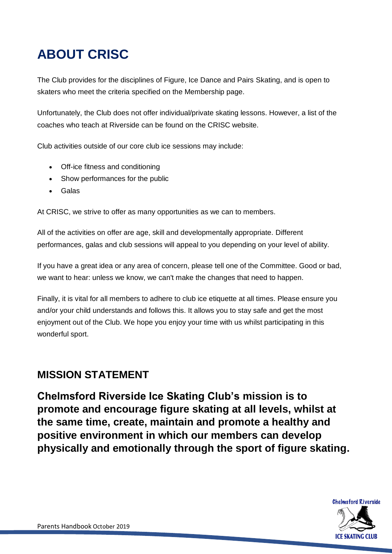### **ABOUT CRISC**

The Club provides for the disciplines of Figure, Ice Dance and Pairs Skating, and is open to skaters who meet the criteria specified on the Membership page.

Unfortunately, the Club does not offer individual/private skating lessons. However, a list of the coaches who teach at Riverside can be found on the CRISC website.

Club activities outside of our core club ice sessions may include:

- Off-ice fitness and conditioning
- Show performances for the public
- Galas

At CRISC, we strive to offer as many opportunities as we can to members.

All of the activities on offer are age, skill and developmentally appropriate. Different performances, galas and club sessions will appeal to you depending on your level of ability.

If you have a great idea or any area of concern, please tell one of the Committee. Good or bad, we want to hear: unless we know, we can't make the changes that need to happen.

Finally, it is vital for all members to adhere to club ice etiquette at all times. Please ensure you and/or your child understands and follows this. It allows you to stay safe and get the most enjoyment out of the Club. We hope you enjoy your time with us whilst participating in this wonderful sport.

### **MISSION STATEMENT**

**Chelmsford Riverside Ice Skating Club's mission is to promote and encourage figure skating at all levels, whilst at the same time, create, maintain and promote a healthy and positive environment in which our members can develop physically and emotionally through the sport of figure skating.**

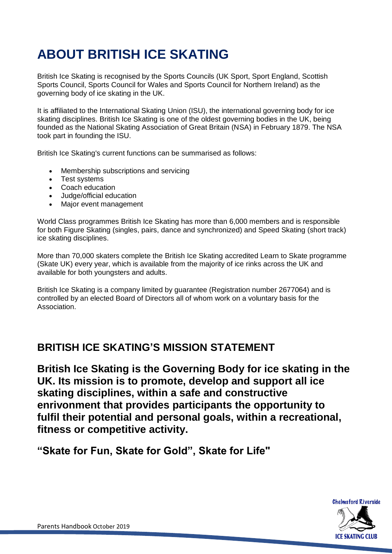### **ABOUT BRITISH ICE SKATING**

British Ice Skating is recognised by the Sports Councils (UK Sport, Sport England, Scottish Sports Council, Sports Council for Wales and Sports Council for Northern Ireland) as the governing body of ice skating in the UK.

It is affiliated to the International Skating Union (ISU), the international governing body for ice skating disciplines. British Ice Skating is one of the oldest governing bodies in the UK, being founded as the National Skating Association of Great Britain (NSA) in February 1879. The NSA took part in founding the ISU.

British Ice Skating's current functions can be summarised as follows:

- Membership subscriptions and servicing
- Test systems
- Coach education
- Judge/official education
- Major event management

World Class programmes British Ice Skating has more than 6,000 members and is responsible for both Figure Skating (singles, pairs, dance and synchronized) and Speed Skating (short track) ice skating disciplines.

More than 70,000 skaters complete the British Ice Skating accredited Learn to Skate programme (Skate UK) every year, which is available from the majority of ice rinks across the UK and available for both youngsters and adults.

British Ice Skating is a company limited by guarantee (Registration number 2677064) and is controlled by an elected Board of Directors all of whom work on a voluntary basis for the Association.

#### **BRITISH ICE SKATING'S MISSION STATEMENT**

**British Ice Skating is the Governing Body for ice skating in the UK. Its mission is to promote, develop and support all ice skating disciplines, within a safe and constructive enrivonment that provides participants the opportunity to fulfil their potential and personal goals, within a recreational, fitness or competitive activity.**

**"Skate for Fun, Skate for Gold", Skate for Life"**

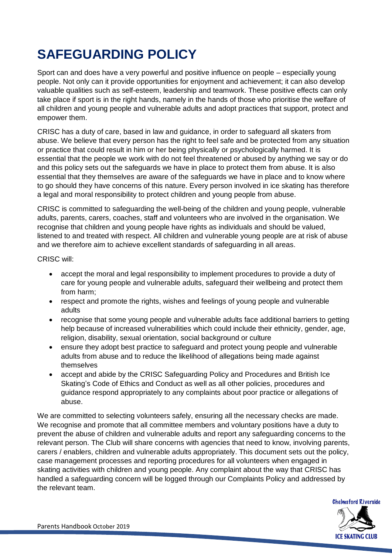### **SAFEGUARDING POLICY**

Sport can and does have a very powerful and positive influence on people – especially young people. Not only can it provide opportunities for enjoyment and achievement; it can also develop valuable qualities such as self-esteem, leadership and teamwork. These positive effects can only take place if sport is in the right hands, namely in the hands of those who prioritise the welfare of all children and young people and vulnerable adults and adopt practices that support, protect and empower them.

CRISC has a duty of care, based in law and guidance, in order to safeguard all skaters from abuse. We believe that every person has the right to feel safe and be protected from any situation or practice that could result in him or her being physically or psychologically harmed. It is essential that the people we work with do not feel threatened or abused by anything we say or do and this policy sets out the safeguards we have in place to protect them from abuse. It is also essential that they themselves are aware of the safeguards we have in place and to know where to go should they have concerns of this nature. Every person involved in ice skating has therefore a legal and moral responsibility to protect children and young people from abuse.

CRISC is committed to safeguarding the well-being of the children and young people, vulnerable adults, parents, carers, coaches, staff and volunteers who are involved in the organisation. We recognise that children and young people have rights as individuals and should be valued, listened to and treated with respect. All children and vulnerable young people are at risk of abuse and we therefore aim to achieve excellent standards of safeguarding in all areas.

CRISC will:

- accept the moral and legal responsibility to implement procedures to provide a duty of care for young people and vulnerable adults, safeguard their wellbeing and protect them from harm;
- respect and promote the rights, wishes and feelings of young people and vulnerable adults
- recognise that some young people and vulnerable adults face additional barriers to getting help because of increased vulnerabilities which could include their ethnicity, gender, age, religion, disability, sexual orientation, social background or culture
- ensure they adopt best practice to safeguard and protect young people and vulnerable adults from abuse and to reduce the likelihood of allegations being made against themselves
- accept and abide by the CRISC Safeguarding Policy and Procedures and British Ice Skating's Code of Ethics and Conduct as well as all other policies, procedures and guidance respond appropriately to any complaints about poor practice or allegations of abuse.

We are committed to selecting volunteers safely, ensuring all the necessary checks are made. We recognise and promote that all committee members and voluntary positions have a duty to prevent the abuse of children and vulnerable adults and report any safeguarding concerns to the relevant person. The Club will share concerns with agencies that need to know, involving parents, carers / enablers, children and vulnerable adults appropriately. This document sets out the policy, case management processes and reporting procedures for all volunteers when engaged in skating activities with children and young people. Any complaint about the way that CRISC has handled a safeguarding concern will be logged through our Complaints Policy and addressed by the relevant team.

![](_page_7_Picture_11.jpeg)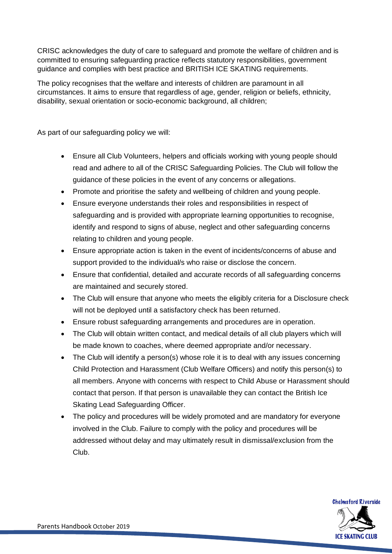CRISC acknowledges the duty of care to safeguard and promote the welfare of children and is committed to ensuring safeguarding practice reflects statutory responsibilities, government guidance and complies with best practice and BRITISH ICE SKATING requirements.

The policy recognises that the welfare and interests of children are paramount in all circumstances. It aims to ensure that regardless of age, gender, religion or beliefs, ethnicity, disability, sexual orientation or socio-economic background, all children;

As part of our safeguarding policy we will:

- Ensure all Club Volunteers, helpers and officials working with young people should read and adhere to all of the CRISC Safeguarding Policies. The Club will follow the guidance of these policies in the event of any concerns or allegations.
- Promote and prioritise the safety and wellbeing of children and young people.
- Ensure everyone understands their roles and responsibilities in respect of safeguarding and is provided with appropriate learning opportunities to recognise, identify and respond to signs of abuse, neglect and other safeguarding concerns relating to children and young people.
- Ensure appropriate action is taken in the event of incidents/concerns of abuse and support provided to the individual/s who raise or disclose the concern.
- Ensure that confidential, detailed and accurate records of all safeguarding concerns are maintained and securely stored.
- The Club will ensure that anyone who meets the eligibly criteria for a Disclosure check will not be deployed until a satisfactory check has been returned.
- Ensure robust safeguarding arrangements and procedures are in operation.
- The Club will obtain written contact, and medical details of all club players which will be made known to coaches, where deemed appropriate and/or necessary.
- The Club will identify a person(s) whose role it is to deal with any issues concerning Child Protection and Harassment (Club Welfare Officers) and notify this person(s) to all members. Anyone with concerns with respect to Child Abuse or Harassment should contact that person. If that person is unavailable they can contact the British Ice Skating Lead Safeguarding Officer.
- The policy and procedures will be widely promoted and are mandatory for everyone involved in the Club. Failure to comply with the policy and procedures will be addressed without delay and may ultimately result in dismissal/exclusion from the Club.

![](_page_8_Picture_13.jpeg)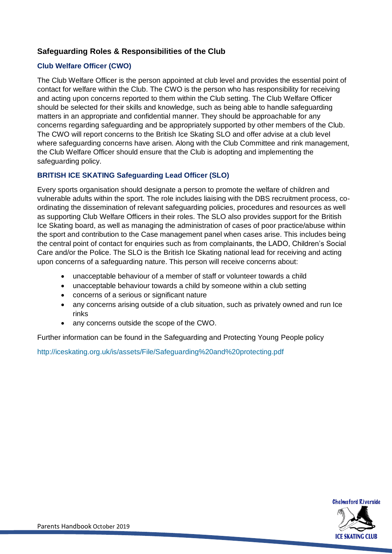#### **Safeguarding Roles & Responsibilities of the Club**

#### **Club Welfare Officer (CWO)**

The Club Welfare Officer is the person appointed at club level and provides the essential point of contact for welfare within the Club. The CWO is the person who has responsibility for receiving and acting upon concerns reported to them within the Club setting. The Club Welfare Officer should be selected for their skills and knowledge, such as being able to handle safeguarding matters in an appropriate and confidential manner. They should be approachable for any concerns regarding safeguarding and be appropriately supported by other members of the Club. The CWO will report concerns to the British Ice Skating SLO and offer advise at a club level where safeguarding concerns have arisen. Along with the Club Committee and rink management, the Club Welfare Officer should ensure that the Club is adopting and implementing the safeguarding policy.

#### **BRITISH ICE SKATING Safeguarding Lead Officer (SLO)**

Every sports organisation should designate a person to promote the welfare of children and vulnerable adults within the sport. The role includes liaising with the DBS recruitment process, coordinating the dissemination of relevant safeguarding policies, procedures and resources as well as supporting Club Welfare Officers in their roles. The SLO also provides support for the British Ice Skating board, as well as managing the administration of cases of poor practice/abuse within the sport and contribution to the Case management panel when cases arise. This includes being the central point of contact for enquiries such as from complainants, the LADO, Children's Social Care and/or the Police. The SLO is the British Ice Skating national lead for receiving and acting upon concerns of a safeguarding nature. This person will receive concerns about:

- unacceptable behaviour of a member of staff or volunteer towards a child
- unacceptable behaviour towards a child by someone within a club setting
- concerns of a serious or significant nature
- any concerns arising outside of a club situation, such as privately owned and run Ice rinks
- any concerns outside the scope of the CWO.

Further information can be found in the Safeguarding and Protecting Young People policy

<http://iceskating.org.uk/is/assets/File/Safeguarding%20and%20protecting.pdf>

![](_page_9_Picture_12.jpeg)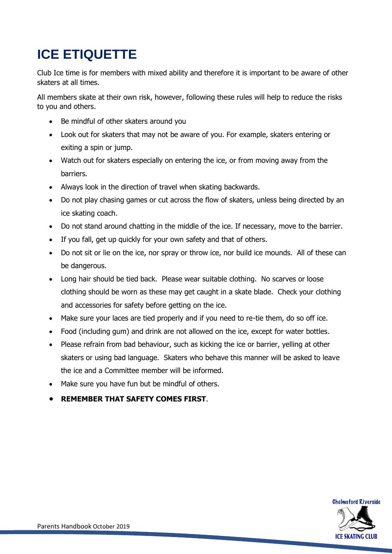### **ICE ETIQUETTE**

Club Ice time is for members with mixed ability and therefore it is important to be aware of other skaters at all times.

All members skate at their own risk, however, following these rules will help to reduce the risks to you and others.

- Be mindful of other skaters around you
- Look out for skaters that may not be aware of you. For example, skaters entering or exiting a spin or jump.
- Watch out for skaters especially on entering the ice, or from moving away from the barriers.
- Always look in the direction of travel when skating backwards.
- Do not play chasing games or cut across the flow of skaters, unless being directed by an ice skating coach.
- Do not stand around chatting in the middle of the ice. If necessary, move to the barrier.
- If you fall, get up quickly for your own safety and that of others.
- Do not sit or lie on the ice, nor spray or throw ice, nor build ice mounds. All of these can be dangerous.
- Long hair should be tied back. Please wear suitable clothing. No scarves or loose clothing should be worn as these may get caught in a skate blade. Check your clothing and accessories for safety before getting on the ice.
- Make sure your laces are tied properly and if you need to re-tie them, do so off ice.
- Food (including gum) and drink are not allowed on the ice, except for water bottles.
- Please refrain from bad behaviour, such as kicking the ice or barrier, yelling at other skaters or using bad language. Skaters who behave this manner will be asked to leave the ice and a Committee member will be informed.
- Make sure you have fun but be mindful of others.
- **REMEMBER THAT SAFETY COMES FIRST**.

![](_page_10_Picture_17.jpeg)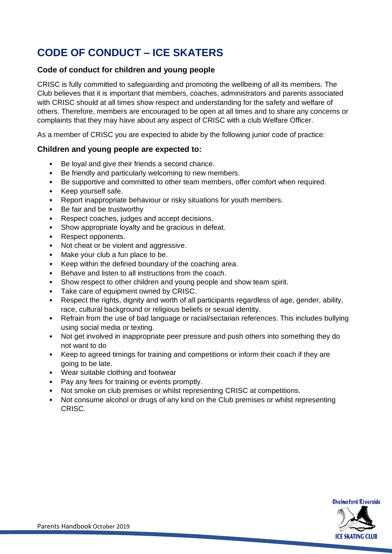### **CODE OF CONDUCT – ICE SKATERS**

#### **Code of conduct for children and young people**

CRISC is fully committed to safeguarding and promoting the wellbeing of all its members. The Club believes that it is important that members, coaches, administrators and parents associated with CRISC should at all times show respect and understanding for the safety and welfare of others. Therefore, members are encouraged to be open at all times and to share any concerns or complaints that they may have about any aspect of CRISC with a club Welfare Officer.

As a member of CRISC you are expected to abide by the following junior code of practice:

#### **Children and young people are expected to:**

- Be loyal and give their friends a second chance.
- Be friendly and particularly welcoming to new members.
- Be supportive and committed to other team members, offer comfort when required.
- Keep yourself safe.
- Report inappropriate behaviour or risky situations for youth members.
- Be fair and be trustworthy
- Respect coaches, judges and accept decisions.
- Show appropriate loyalty and be gracious in defeat.
- Respect opponents.
- Not cheat or be violent and aggressive.
- Make your club a fun place to be.
- Keep within the defined boundary of the coaching area.
- Behave and listen to all instructions from the coach.
- Show respect to other children and young people and show team spirit.
- Take care of equipment owned by CRISC.
- Respect the rights, dignity and worth of all participants regardless of age, gender, ability, race, cultural background or religious beliefs or sexual identity.
- Refrain from the use of bad language or racial/sectarian references. This includes bullying using social media or texting.
- Not get involved in inappropriate peer pressure and push others into something they do not want to do
- Keep to agreed timings for training and competitions or inform their coach if they are going to be late.
- Wear suitable clothing and footwear
- Pay any fees for training or events promptly.
- Not smoke on club premises or whilst representing CRISC at competitions.
- Not consume alcohol or drugs of any kind on the Club premises or whilst representing CRISC.

![](_page_11_Picture_28.jpeg)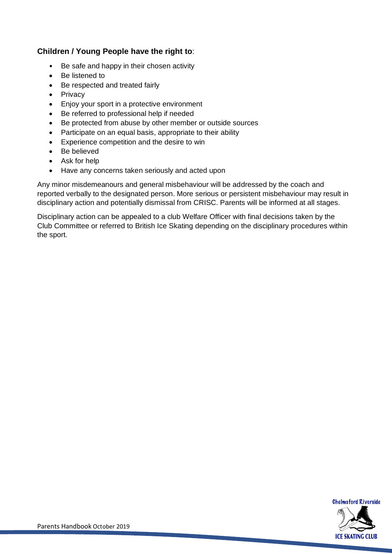#### **Children / Young People have the right to**:

- Be safe and happy in their chosen activity
- Be listened to
- Be respected and treated fairly
- Privacy
- Enjoy your sport in a protective environment
- Be referred to professional help if needed
- Be protected from abuse by other member or outside sources
- Participate on an equal basis, appropriate to their ability
- Experience competition and the desire to win
- Be believed
- Ask for help
- Have any concerns taken seriously and acted upon

Any minor misdemeanours and general misbehaviour will be addressed by the coach and reported verbally to the designated person. More serious or persistent misbehaviour may result in disciplinary action and potentially dismissal from CRISC. Parents will be informed at all stages.

Disciplinary action can be appealed to a club Welfare Officer with final decisions taken by the Club Committee or referred to British Ice Skating depending on the disciplinary procedures within the sport.

![](_page_12_Picture_15.jpeg)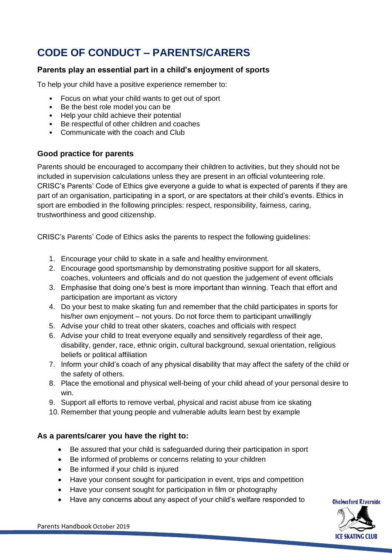### **CODE OF CONDUCT – PARENTS/CARERS**

#### **Parents play an essential part in a child's enjoyment of sports**

To help your child have a positive experience remember to:

- Focus on what your child wants to get out of sport
- Be the best role model you can be
- Help your child achieve their potential
- Be respectful of other children and coaches
- Communicate with the coach and Club

#### **Good practice for parents**

Parents should be encouraged to accompany their children to activities, but they should not be included in supervision calculations unless they are present in an official volunteering role. CRISC's Parents' Code of Ethics give everyone a guide to what is expected of parents if they are part of an organisation, participating in a sport, or are spectators at their child's events. Ethics in sport are embodied in the following principles: respect, responsibility, fairness, caring, trustworthiness and good citizenship.

CRISC's Parents' Code of Ethics asks the parents to respect the following guidelines:

- 1. Encourage your child to skate in a safe and healthy environment.
- 2. Encourage good sportsmanship by demonstrating positive support for all skaters, coaches, volunteers and officials and do not question the judgement of event officials
- 3. Emphasise that doing one's best is more important than winning. Teach that effort and participation are important as victory
- 4. Do your best to make skating fun and remember that the child participates in sports for his/her own enjoyment – not yours. Do not force them to participant unwillingly
- 5. Advise your child to treat other skaters, coaches and officials with respect
- 6. Advise your child to treat everyone equally and sensitively regardless of their age, disability, gender, race, ethnic origin, cultural background, sexual orientation, religious beliefs or political affiliation
- 7. Inform your child's coach of any physical disability that may affect the safety of the child or the safety of others.
- 8. Place the emotional and physical well-being of your child ahead of your personal desire to win.
- 9. Support all efforts to remove verbal, physical and racist abuse from ice skating
- 10. Remember that young people and vulnerable adults learn best by example

#### **As a parents/carer you have the right to:**

- Be assured that your child is safeguarded during their participation in sport
- Be informed of problems or concerns relating to your children
- Be informed if your child is injured
- Have your consent sought for participation in event, trips and competition
- Have your consent sought for participation in film or photography
- Have any concerns about any aspect of your child's welfare responded to

![](_page_13_Picture_28.jpeg)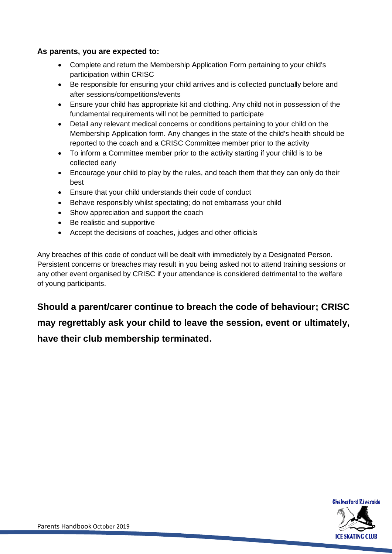#### **As parents, you are expected to:**

- Complete and return the Membership Application Form pertaining to your child's participation within CRISC
- Be responsible for ensuring your child arrives and is collected punctually before and after sessions/competitions/events
- Ensure your child has appropriate kit and clothing. Any child not in possession of the fundamental requirements will not be permitted to participate
- Detail any relevant medical concerns or conditions pertaining to your child on the Membership Application form. Any changes in the state of the child's health should be reported to the coach and a CRISC Committee member prior to the activity
- To inform a Committee member prior to the activity starting if your child is to be collected early
- Encourage your child to play by the rules, and teach them that they can only do their best
- Ensure that your child understands their code of conduct
- Behave responsibly whilst spectating; do not embarrass your child
- Show appreciation and support the coach
- Be realistic and supportive
- Accept the decisions of coaches, judges and other officials

Any breaches of this code of conduct will be dealt with immediately by a Designated Person. Persistent concerns or breaches may result in you being asked not to attend training sessions or any other event organised by CRISC if your attendance is considered detrimental to the welfare of young participants.

**Should a parent/carer continue to breach the code of behaviour; CRISC may regrettably ask your child to leave the session, event or ultimately, have their club membership terminated.**

![](_page_14_Picture_14.jpeg)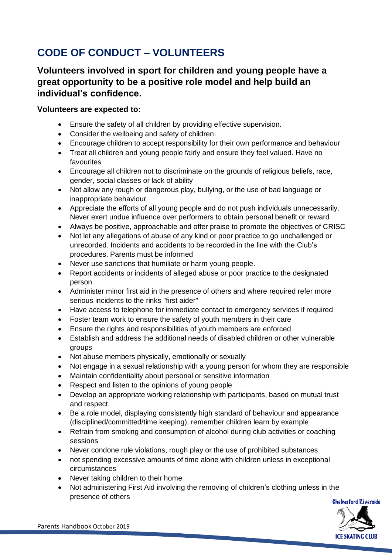### **CODE OF CONDUCT – VOLUNTEERS**

#### **Volunteers involved in sport for children and young people have a great opportunity to be a positive role model and help build an individual's confidence.**

#### **Volunteers are expected to:**

- Ensure the safety of all children by providing effective supervision.
- Consider the wellbeing and safety of children.
- Encourage children to accept responsibility for their own performance and behaviour
- Treat all children and young people fairly and ensure they feel valued. Have no favourites
- Encourage all children not to discriminate on the grounds of religious beliefs, race, gender, social classes or lack of ability
- Not allow any rough or dangerous play, bullying, or the use of bad language or inappropriate behaviour
- Appreciate the efforts of all young people and do not push individuals unnecessarily. Never exert undue influence over performers to obtain personal benefit or reward
- Always be positive, approachable and offer praise to promote the objectives of CRISC
- Not let any allegations of abuse of any kind or poor practice to go unchallenged or unrecorded. Incidents and accidents to be recorded in the line with the Club's procedures. Parents must be informed
- Never use sanctions that humiliate or harm young people.
- Report accidents or incidents of alleged abuse or poor practice to the designated person
- Administer minor first aid in the presence of others and where required refer more serious incidents to the rinks "first aider"
- Have access to telephone for immediate contact to emergency services if required
- Foster team work to ensure the safety of youth members in their care
- Ensure the rights and responsibilities of youth members are enforced
- Establish and address the additional needs of disabled children or other vulnerable groups
- Not abuse members physically, emotionally or sexually
- Not engage in a sexual relationship with a young person for whom they are responsible
- Maintain confidentiality about personal or sensitive information
- Respect and listen to the opinions of young people
- Develop an appropriate working relationship with participants, based on mutual trust and respect
- Be a role model, displaying consistently high standard of behaviour and appearance (disciplined/committed/time keeping), remember children learn by example
- Refrain from smoking and consumption of alcohol during club activities or coaching sessions
- Never condone rule violations, rough play or the use of prohibited substances
- not spending excessive amounts of time alone with children unless in exceptional circumstances
- Never taking children to their home
- Not administering First Aid involving the removing of children's clothing unless in the presence of others

![](_page_15_Picture_30.jpeg)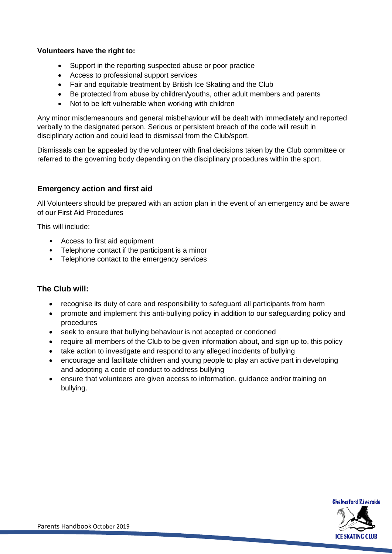#### **Volunteers have the right to:**

- Support in the reporting suspected abuse or poor practice
- Access to professional support services
- Fair and equitable treatment by British Ice Skating and the Club
- Be protected from abuse by children/youths, other adult members and parents
- Not to be left vulnerable when working with children

Any minor misdemeanours and general misbehaviour will be dealt with immediately and reported verbally to the designated person. Serious or persistent breach of the code will result in disciplinary action and could lead to dismissal from the Club/sport.

Dismissals can be appealed by the volunteer with final decisions taken by the Club committee or referred to the governing body depending on the disciplinary procedures within the sport.

#### **Emergency action and first aid**

All Volunteers should be prepared with an action plan in the event of an emergency and be aware of our First Aid Procedures

This will include:

- Access to first aid equipment
- Telephone contact if the participant is a minor
- Telephone contact to the emergency services

#### **The Club will:**

- recognise its duty of care and responsibility to safeguard all participants from harm
- promote and implement this anti-bullying policy in addition to our safeguarding policy and procedures
- seek to ensure that bullying behaviour is not accepted or condoned
- require all members of the Club to be given information about, and sign up to, this policy
- take action to investigate and respond to any alleged incidents of bullying
- encourage and facilitate children and young people to play an active part in developing and adopting a code of conduct to address bullying
- ensure that volunteers are given access to information, guidance and/or training on bullying.

![](_page_16_Picture_22.jpeg)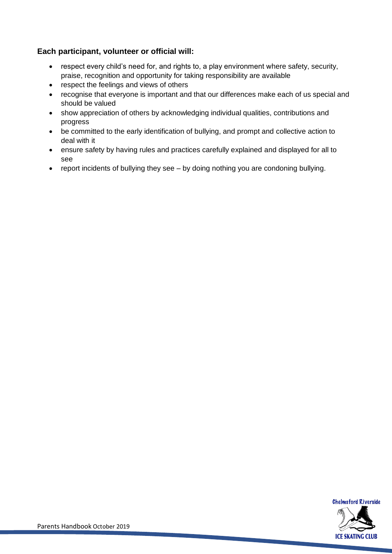#### **Each participant, volunteer or official will:**

- respect every child's need for, and rights to, a play environment where safety, security, praise, recognition and opportunity for taking responsibility are available
- respect the feelings and views of others
- recognise that everyone is important and that our differences make each of us special and should be valued
- show appreciation of others by acknowledging individual qualities, contributions and progress
- be committed to the early identification of bullying, and prompt and collective action to deal with it
- ensure safety by having rules and practices carefully explained and displayed for all to see
- report incidents of bullying they see by doing nothing you are condoning bullying.

![](_page_17_Picture_8.jpeg)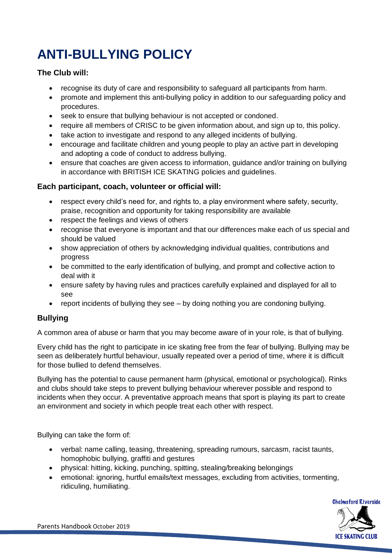## **ANTI-BULLYING POLICY**

#### **The Club will:**

- recognise its duty of care and responsibility to safeguard all participants from harm.
- promote and implement this anti-bullying policy in addition to our safeguarding policy and procedures.
- seek to ensure that bullying behaviour is not accepted or condoned.
- require all members of CRISC to be given information about, and sign up to, this policy.
- take action to investigate and respond to any alleged incidents of bullying.
- encourage and facilitate children and young people to play an active part in developing and adopting a code of conduct to address bullying.
- ensure that coaches are given access to information, guidance and/or training on bullying in accordance with BRITISH ICE SKATING policies and guidelines.

#### **Each participant, coach, volunteer or official will:**

- respect every child's need for, and rights to, a play environment where safety, security, praise, recognition and opportunity for taking responsibility are available
- respect the feelings and views of others
- recognise that everyone is important and that our differences make each of us special and should be valued
- show appreciation of others by acknowledging individual qualities, contributions and progress
- be committed to the early identification of bullying, and prompt and collective action to deal with it
- ensure safety by having rules and practices carefully explained and displayed for all to see
- report incidents of bullying they see by doing nothing you are condoning bullying.

#### **Bullying**

A common area of abuse or harm that you may become aware of in your role, is that of bullying.

Every child has the right to participate in ice skating free from the fear of bullying. Bullying may be seen as deliberately hurtful behaviour, usually repeated over a period of time, where it is difficult for those bullied to defend themselves.

Bullying has the potential to cause permanent harm (physical, emotional or psychological). Rinks and clubs should take steps to prevent bullying behaviour wherever possible and respond to incidents when they occur. A preventative approach means that sport is playing its part to create an environment and society in which people treat each other with respect.

Bullying can take the form of:

- verbal: name calling, teasing, threatening, spreading rumours, sarcasm, racist taunts, homophobic bullying, graffiti and gestures
- physical: hitting, kicking, punching, spitting, stealing/breaking belongings
- emotional: ignoring, hurtful emails/text messages, excluding from activities, tormenting, ridiculing, humiliating.

![](_page_18_Picture_25.jpeg)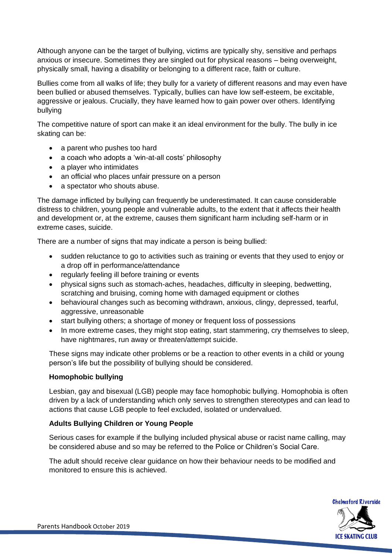Although anyone can be the target of bullying, victims are typically shy, sensitive and perhaps anxious or insecure. Sometimes they are singled out for physical reasons – being overweight, physically small, having a disability or belonging to a different race, faith or culture.

Bullies come from all walks of life; they bully for a variety of different reasons and may even have been bullied or abused themselves. Typically, bullies can have low self-esteem, be excitable, aggressive or jealous. Crucially, they have learned how to gain power over others. Identifying bullying

The competitive nature of sport can make it an ideal environment for the bully. The bully in ice skating can be:

- a parent who pushes too hard
- a coach who adopts a 'win-at-all costs' philosophy
- a player who intimidates
- an official who places unfair pressure on a person
- a spectator who shouts abuse.

The damage inflicted by bullying can frequently be underestimated. It can cause considerable distress to children, young people and vulnerable adults, to the extent that it affects their health and development or, at the extreme, causes them significant harm including self-harm or in extreme cases, suicide.

There are a number of signs that may indicate a person is being bullied:

- sudden reluctance to go to activities such as training or events that they used to enjoy or a drop off in performance/attendance
- regularly feeling ill before training or events
- physical signs such as stomach-aches, headaches, difficulty in sleeping, bedwetting, scratching and bruising, coming home with damaged equipment or clothes
- behavioural changes such as becoming withdrawn, anxious, clingy, depressed, tearful, aggressive, unreasonable
- start bullying others; a shortage of money or frequent loss of possessions
- In more extreme cases, they might stop eating, start stammering, cry themselves to sleep, have nightmares, run away or threaten/attempt suicide.

These signs may indicate other problems or be a reaction to other events in a child or young person's life but the possibility of bullying should be considered.

#### **Homophobic bullying**

Lesbian, gay and bisexual (LGB) people may face homophobic bullying. Homophobia is often driven by a lack of understanding which only serves to strengthen stereotypes and can lead to actions that cause LGB people to feel excluded, isolated or undervalued.

#### **Adults Bullying Children or Young People**

Serious cases for example if the bullying included physical abuse or racist name calling, may be considered abuse and so may be referred to the Police or Children's Social Care.

The adult should receive clear guidance on how their behaviour needs to be modified and monitored to ensure this is achieved.

![](_page_19_Picture_22.jpeg)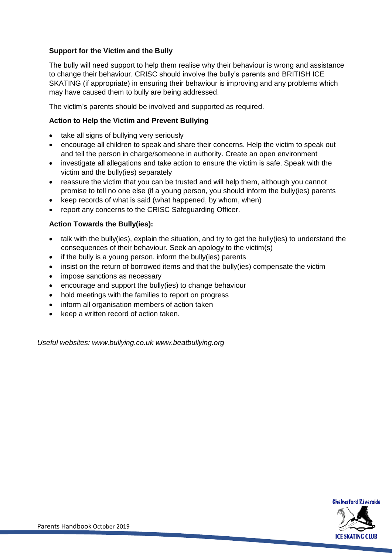#### **Support for the Victim and the Bully**

The bully will need support to help them realise why their behaviour is wrong and assistance to change their behaviour. CRISC should involve the bully's parents and BRITISH ICE SKATING (if appropriate) in ensuring their behaviour is improving and any problems which may have caused them to bully are being addressed.

The victim's parents should be involved and supported as required.

#### **Action to Help the Victim and Prevent Bullying**

- take all signs of bullying very seriously
- encourage all children to speak and share their concerns. Help the victim to speak out and tell the person in charge/someone in authority. Create an open environment
- investigate all allegations and take action to ensure the victim is safe. Speak with the victim and the bully(ies) separately
- reassure the victim that you can be trusted and will help them, although you cannot promise to tell no one else (if a young person, you should inform the bully(ies) parents
- keep records of what is said (what happened, by whom, when)
- report any concerns to the CRISC Safeguarding Officer.

#### **Action Towards the Bully(ies):**

- talk with the bully(ies), explain the situation, and try to get the bully(ies) to understand the consequences of their behaviour. Seek an apology to the victim(s)
- if the bully is a young person, inform the bully(ies) parents
- insist on the return of borrowed items and that the bully(ies) compensate the victim
- impose sanctions as necessary
- encourage and support the bully(ies) to change behaviour
- hold meetings with the families to report on progress
- inform all organisation members of action taken
- keep a written record of action taken.

*Useful websites: www.bullying.co.uk www.beatbullying.org*

![](_page_20_Picture_20.jpeg)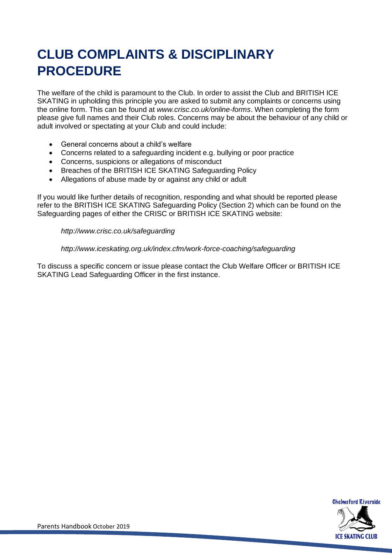### **CLUB COMPLAINTS & DISCIPLINARY PROCEDURE**

The welfare of the child is paramount to the Club. In order to assist the Club and BRITISH ICE SKATING in upholding this principle you are asked to submit any complaints or concerns using the online form. This can be found at *www.crisc.co.uk/online-forms*. When completing the form please give full names and their Club roles. Concerns may be about the behaviour of any child or adult involved or spectating at your Club and could include:

- General concerns about a child's welfare
- Concerns related to a safeguarding incident e.g. bullying or poor practice
- Concerns, suspicions or allegations of misconduct
- Breaches of the BRITISH ICE SKATING Safeguarding Policy
- Allegations of abuse made by or against any child or adult

If you would like further details of recognition, responding and what should be reported please refer to the BRITISH ICE SKATING Safeguarding Policy (Section 2) which can be found on the Safeguarding pages of either the CRISC or BRITISH ICE SKATING website:

#### *http://www.crisc.co.uk/safeguarding*

#### *http://www.iceskating.org.uk/index.cfm/work-force-coaching/safeguarding*

To discuss a specific concern or issue please contact the Club Welfare Officer or BRITISH ICE SKATING Lead Safeguarding Officer in the first instance.

![](_page_21_Picture_11.jpeg)